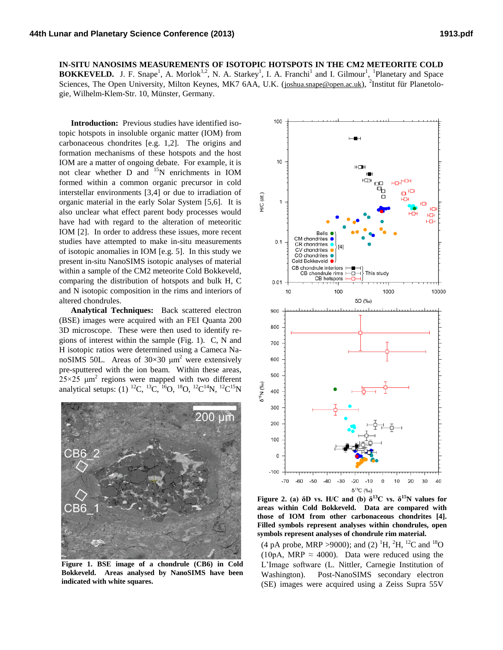**IN-SITU NANOSIMS MEASUREMENTS OF ISOTOPIC HOTSPOTS IN THE CM2 METEORITE COLD BOKKEVELD.** J. F. Snape<sup>1</sup>, A. Morlok<sup>1,2</sup>, N. A. Starkey<sup>1</sup>, I. A. Franchi<sup>1</sup> and I. Gilmour<sup>1</sup>, <sup>1</sup>Planetary and Space Sciences, The Open University, Milton Keynes, MK7 6AA, U.K. ([joshua.snape@open.ac.uk](mailto:joshua.snape@open.ac.uk)), <sup>2</sup>Institut für Planetologie, Wilhelm-Klem-Str. 10, Münster, Germany.

**Introduction:** Previous studies have identified isotopic hotspots in insoluble organic matter (IOM) from carbonaceous chondrites [e.g. 1,2]. The origins and formation mechanisms of these hotspots and the host IOM are a matter of ongoing debate. For example, it is not clear whether D and <sup>15</sup>N enrichments in IOM formed within a common organic precursor in cold interstellar environments [3,4] or due to irradiation of organic material in the early Solar System [5,6]. It is also unclear what effect parent body processes would have had with regard to the alteration of meteoritic IOM [2]. In order to address these issues, more recent studies have attempted to make in-situ measurements of isotopic anomalies in IOM [e.g. 5]. In this study we present in-situ NanoSIMS isotopic analyses of material within a sample of the CM2 meteorite Cold Bokkeveld, comparing the distribution of hotspots and bulk H, C and N isotopic composition in the rims and interiors of altered chondrules.

**Analytical Techniques:** Back scattered electron (BSE) images were acquired with an FEI Quanta 200 3D microscope. These were then used to identify regions of interest within the sample (Fig. 1). C, N and H isotopic ratios were determined using a Cameca NanoSIMS 50L. Areas of  $30 \times 30 \mu m^2$  were extensively pre-sputtered with the ion beam. Within these areas,  $25\times25$   $\mu$ m<sup>2</sup> regions were mapped with two different analytical setups: (1) <sup>12</sup>C, <sup>13</sup>C, <sup>16</sup>O, <sup>18</sup>O, <sup>12</sup>C<sup>14</sup>N, <sup>12</sup>C<sup>15</sup>N



**Figure 1. BSE image of a chondrule (CB6) in Cold Bokkeveld. Areas analysed by NanoSIMS have been indicated with white squares.**



**Figure 2. (a)**  $\delta$ **D vs. H/C and (b)**  $\delta^{13}$ **C vs.**  $\delta^{15}$ **N values for areas within Cold Bokkeveld. Data are compared with those of IOM from other carbonaceous chondrites [4]. Filled symbols represent analyses within chondrules, open symbols represent analyses of chondrule rim material.**

(4 pA probe, MRP > 9000); and (2) <sup>1</sup>H, <sup>2</sup>H, <sup>12</sup>C and <sup>18</sup>O (10pA, MRP  $\approx$  4000). Data were reduced using the L'Image software (L. Nittler, Carnegie Institution of Washington). Post-NanoSIMS secondary electron (SE) images were acquired using a Zeiss Supra 55V